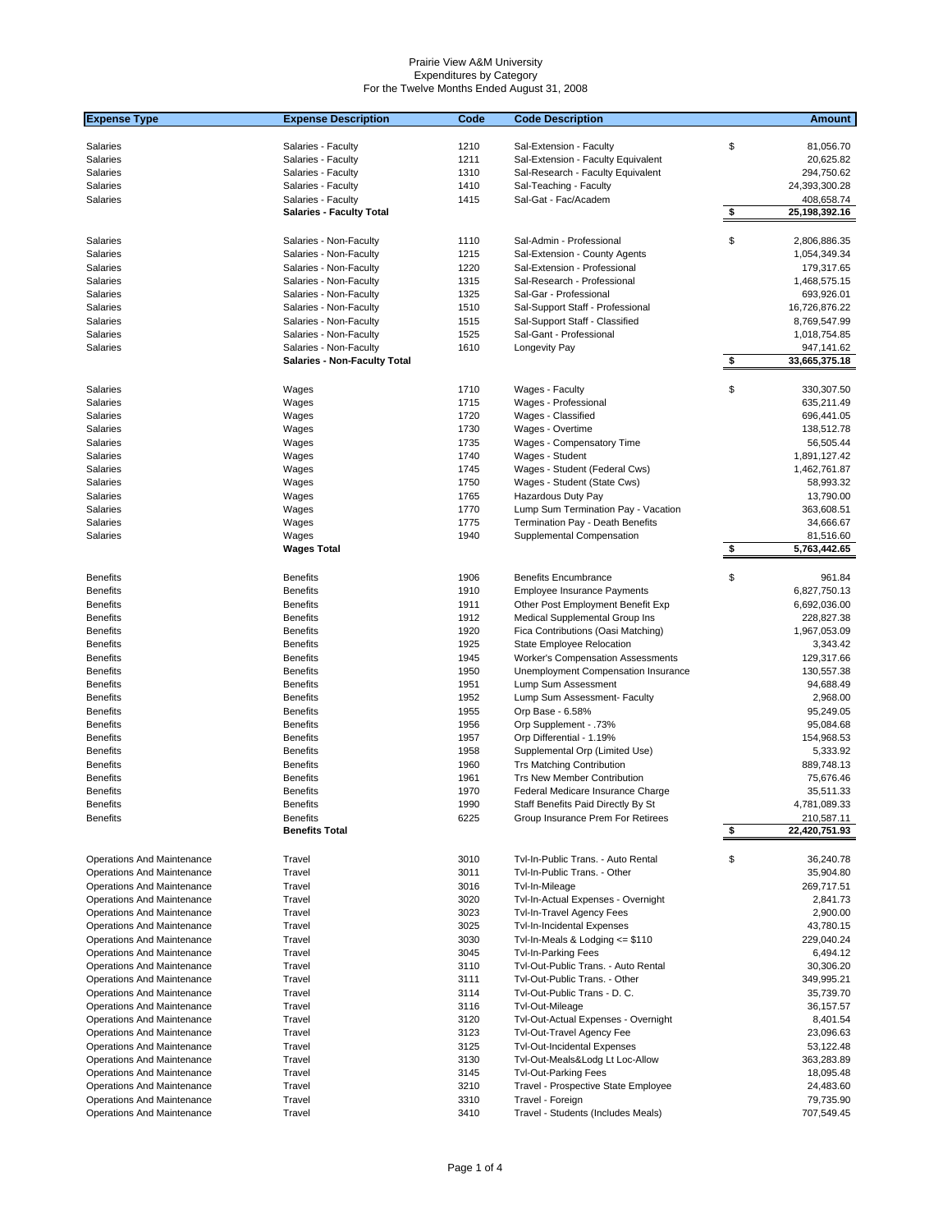| <b>Expense Type</b>               | <b>Expense Description</b>          | Code | <b>Code Description</b>                  | <b>Amount</b>                            |        |
|-----------------------------------|-------------------------------------|------|------------------------------------------|------------------------------------------|--------|
|                                   |                                     |      |                                          |                                          |        |
| Salaries                          | Salaries - Faculty                  | 1210 | Sal-Extension - Faculty                  | \$<br>81,056.70                          |        |
| Salaries                          | Salaries - Faculty                  | 1211 | Sal-Extension - Faculty Equivalent       | 20,625.82                                |        |
| Salaries                          | Salaries - Faculty                  | 1310 | Sal-Research - Faculty Equivalent        | 294,750.62                               |        |
| Salaries                          | Salaries - Faculty                  | 1410 | Sal-Teaching - Faculty                   | 24,393,300.28                            |        |
| Salaries                          | Salaries - Faculty                  | 1415 | Sal-Gat - Fac/Academ                     | 408,658.74                               |        |
|                                   | <b>Salaries - Faculty Total</b>     |      |                                          | $\sqrt[6]{\frac{1}{2}}$<br>25,198,392.16 |        |
|                                   |                                     |      |                                          |                                          |        |
| Salaries                          | Salaries - Non-Faculty              | 1110 | Sal-Admin - Professional                 | \$<br>2,806,886.35                       |        |
| Salaries                          | Salaries - Non-Faculty              | 1215 | Sal-Extension - County Agents            | 1,054,349.34                             |        |
| Salaries                          | Salaries - Non-Faculty              | 1220 | Sal-Extension - Professional             | 179,317.65                               |        |
| Salaries                          | Salaries - Non-Faculty              | 1315 | Sal-Research - Professional              | 1,468,575.15                             |        |
| Salaries                          | Salaries - Non-Faculty              | 1325 | Sal-Gar - Professional                   | 693,926.01                               |        |
| Salaries                          | Salaries - Non-Faculty              | 1510 | Sal-Support Staff - Professional         | 16,726,876.22                            |        |
| Salaries                          | Salaries - Non-Faculty              | 1515 | Sal-Support Staff - Classified           | 8,769,547.99                             |        |
| Salaries                          | Salaries - Non-Faculty              | 1525 | Sal-Gant - Professional                  | 1,018,754.85                             |        |
| Salaries                          | Salaries - Non-Faculty              | 1610 | Longevity Pay                            | 947,141.62                               |        |
|                                   | <b>Salaries - Non-Faculty Total</b> |      |                                          | \$<br>33,665,375.18                      |        |
|                                   |                                     |      |                                          |                                          |        |
| Salaries                          | Wages                               | 1710 | Wages - Faculty                          | \$<br>330,307.50                         |        |
| Salaries                          | Wages                               | 1715 | Wages - Professional                     | 635,211.49                               |        |
| Salaries                          | Wages                               | 1720 | Wages - Classified                       | 696,441.05                               |        |
| Salaries                          | Wages                               | 1730 | Wages - Overtime                         | 138,512.78                               |        |
| Salaries                          | Wages                               | 1735 | Wages - Compensatory Time                | 56,505.44                                |        |
| Salaries                          | Wages                               | 1740 | Wages - Student                          | 1,891,127.42                             |        |
| Salaries                          | Wages                               | 1745 | Wages - Student (Federal Cws)            | 1,462,761.87                             |        |
| Salaries                          | Wages                               | 1750 | Wages - Student (State Cws)              | 58,993.32                                |        |
| Salaries                          | Wages                               | 1765 | Hazardous Duty Pay                       | 13,790.00                                |        |
| Salaries                          | Wages                               | 1770 | Lump Sum Termination Pay - Vacation      | 363,608.51                               |        |
| Salaries                          |                                     | 1775 |                                          | 34,666.67                                |        |
|                                   | Wages                               |      | Termination Pay - Death Benefits         |                                          |        |
| Salaries                          | Wages<br><b>Wages Total</b>         | 1940 | Supplemental Compensation                | 81,516.60<br>\$<br>5,763,442.65          |        |
|                                   |                                     |      |                                          |                                          |        |
| <b>Benefits</b>                   | <b>Benefits</b>                     | 1906 | <b>Benefits Encumbrance</b>              | \$                                       | 961.84 |
| <b>Benefits</b>                   | <b>Benefits</b>                     | 1910 | <b>Employee Insurance Payments</b>       | 6,827,750.13                             |        |
| <b>Benefits</b>                   | <b>Benefits</b>                     | 1911 | Other Post Employment Benefit Exp        | 6,692,036.00                             |        |
| <b>Benefits</b>                   | <b>Benefits</b>                     | 1912 | Medical Supplemental Group Ins           | 228,827.38                               |        |
| <b>Benefits</b>                   | <b>Benefits</b>                     | 1920 | Fica Contributions (Oasi Matching)       | 1,967,053.09                             |        |
| <b>Benefits</b>                   | <b>Benefits</b>                     | 1925 |                                          | 3,343.42                                 |        |
|                                   |                                     | 1945 | State Employee Relocation                |                                          |        |
| <b>Benefits</b>                   | <b>Benefits</b>                     |      | <b>Worker's Compensation Assessments</b> | 129,317.66                               |        |
| <b>Benefits</b>                   | <b>Benefits</b>                     | 1950 | Unemployment Compensation Insurance      | 130,557.38                               |        |
| <b>Benefits</b>                   | <b>Benefits</b>                     | 1951 | Lump Sum Assessment                      | 94,688.49                                |        |
| <b>Benefits</b>                   | <b>Benefits</b>                     | 1952 | Lump Sum Assessment- Faculty             | 2,968.00                                 |        |
| <b>Benefits</b>                   | <b>Benefits</b>                     | 1955 | Orp Base - 6.58%                         | 95,249.05                                |        |
| <b>Benefits</b>                   | <b>Benefits</b>                     | 1956 | Orp Supplement - .73%                    | 95,084.68                                |        |
| <b>Benefits</b>                   | <b>Benefits</b>                     | 1957 | Orp Differential - 1.19%                 | 154,968.53                               |        |
| <b>Benefits</b>                   | <b>Benefits</b>                     | 1958 | Supplemental Orp (Limited Use)           | 5,333.92                                 |        |
| <b>Benefits</b>                   | <b>Benefits</b>                     | 1960 | <b>Trs Matching Contribution</b>         | 889,748.13                               |        |
| <b>Benefits</b>                   | <b>Benefits</b>                     | 1961 | <b>Trs New Member Contribution</b>       | 75,676.46                                |        |
| <b>Benefits</b>                   | <b>Benefits</b>                     | 1970 | Federal Medicare Insurance Charge        | 35,511.33                                |        |
| <b>Benefits</b>                   | <b>Benefits</b>                     | 1990 | Staff Benefits Paid Directly By St       | 4,781,089.33                             |        |
| <b>Benefits</b>                   | <b>Benefits</b>                     | 6225 | Group Insurance Prem For Retirees        | 210,587.11                               |        |
|                                   | <b>Benefits Total</b>               |      |                                          | \$<br>22,420,751.93                      |        |
|                                   |                                     |      |                                          |                                          |        |
| <b>Operations And Maintenance</b> | Travel                              | 3010 | Tvl-In-Public Trans. - Auto Rental       | \$<br>36,240.78                          |        |
| Operations And Maintenance        | Travel                              | 3011 | Tvl-In-Public Trans. - Other             | 35,904.80                                |        |
| Operations And Maintenance        | Travel                              | 3016 | Tvl-In-Mileage                           | 269,717.51                               |        |
| Operations And Maintenance        | Travel                              | 3020 | Tvl-In-Actual Expenses - Overnight       | 2,841.73                                 |        |
| <b>Operations And Maintenance</b> | Travel                              | 3023 | Tvl-In-Travel Agency Fees                | 2,900.00                                 |        |
| Operations And Maintenance        | Travel                              | 3025 | <b>Tvl-In-Incidental Expenses</b>        | 43,780.15                                |        |
| Operations And Maintenance        | Travel                              | 3030 | Tvl-In-Meals & Lodging $\le$ \$110       | 229,040.24                               |        |
| Operations And Maintenance        | Travel                              | 3045 | <b>Tvl-In-Parking Fees</b>               | 6,494.12                                 |        |
| Operations And Maintenance        | Travel                              | 3110 | Tvl-Out-Public Trans. - Auto Rental      | 30,306.20                                |        |
| <b>Operations And Maintenance</b> | Travel                              | 3111 | Tvl-Out-Public Trans. - Other            | 349,995.21                               |        |
|                                   |                                     |      |                                          |                                          |        |
| Operations And Maintenance        | Travel                              | 3114 | Tvl-Out-Public Trans - D. C.             | 35,739.70                                |        |
| Operations And Maintenance        | Travel                              | 3116 | Tvl-Out-Mileage                          | 36,157.57                                |        |
| Operations And Maintenance        | Travel                              | 3120 | Tvl-Out-Actual Expenses - Overnight      | 8,401.54                                 |        |
| Operations And Maintenance        | Travel                              | 3123 | Tvl-Out-Travel Agency Fee                | 23,096.63                                |        |
| Operations And Maintenance        | Travel                              | 3125 | <b>Tvl-Out-Incidental Expenses</b>       | 53,122.48                                |        |
| Operations And Maintenance        | Travel                              | 3130 | Tvl-Out-Meals&Lodg Lt Loc-Allow          | 363,283.89                               |        |
| Operations And Maintenance        | Travel                              | 3145 | <b>Tvl-Out-Parking Fees</b>              | 18,095.48                                |        |
| Operations And Maintenance        | Travel                              | 3210 | Travel - Prospective State Employee      | 24,483.60                                |        |
| Operations And Maintenance        | Travel                              | 3310 | Travel - Foreign                         | 79,735.90                                |        |
| Operations And Maintenance        | Travel                              | 3410 | Travel - Students (Includes Meals)       | 707,549.45                               |        |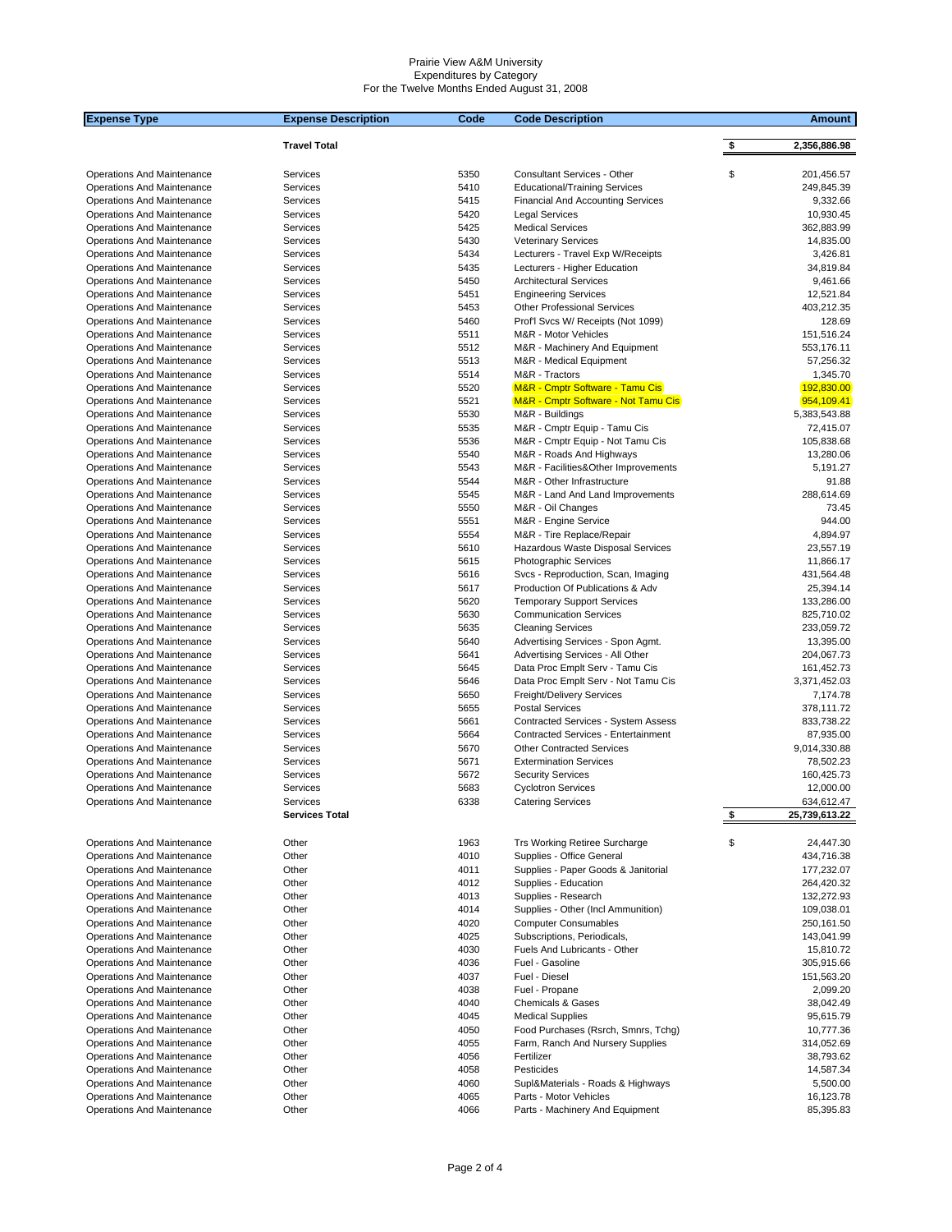| <b>Expense Type</b>                                             | <b>Expense Description</b> | Code         | <b>Code Description</b>                                       | <b>Amount</b>               |
|-----------------------------------------------------------------|----------------------------|--------------|---------------------------------------------------------------|-----------------------------|
|                                                                 | <b>Travel Total</b>        |              |                                                               | \$<br>2,356,886.98          |
|                                                                 |                            |              |                                                               |                             |
| Operations And Maintenance                                      | Services                   | 5350         | Consultant Services - Other                                   | \$<br>201,456.57            |
| Operations And Maintenance                                      | Services                   | 5410         | <b>Educational/Training Services</b>                          | 249,845.39                  |
| Operations And Maintenance                                      | Services                   | 5415         | <b>Financial And Accounting Services</b>                      | 9,332.66                    |
| Operations And Maintenance                                      | Services                   | 5420         | <b>Legal Services</b>                                         | 10,930.45                   |
| Operations And Maintenance                                      | Services                   | 5425         | <b>Medical Services</b>                                       | 362,883.99                  |
| Operations And Maintenance                                      | Services                   | 5430         | <b>Veterinary Services</b>                                    | 14,835.00                   |
| Operations And Maintenance                                      | Services                   | 5434         | Lecturers - Travel Exp W/Receipts                             | 3,426.81                    |
| Operations And Maintenance<br><b>Operations And Maintenance</b> | Services<br>Services       | 5435<br>5450 | Lecturers - Higher Education<br><b>Architectural Services</b> | 34,819.84<br>9,461.66       |
| Operations And Maintenance                                      | Services                   | 5451         | <b>Engineering Services</b>                                   | 12,521.84                   |
| Operations And Maintenance                                      | Services                   | 5453         | <b>Other Professional Services</b>                            | 403,212.35                  |
| Operations And Maintenance                                      | Services                   | 5460         | Prof'l Svcs W/ Receipts (Not 1099)                            | 128.69                      |
| Operations And Maintenance                                      | Services                   | 5511         | M&R - Motor Vehicles                                          | 151,516.24                  |
| Operations And Maintenance                                      | Services                   | 5512         | M&R - Machinery And Equipment                                 | 553,176.11                  |
| Operations And Maintenance                                      | Services                   | 5513         | M&R - Medical Equipment                                       | 57,256.32                   |
| Operations And Maintenance                                      | Services                   | 5514         | M&R - Tractors                                                | 1,345.70                    |
| Operations And Maintenance                                      | Services                   | 5520         | <b>M&amp;R - Cmptr Software - Tamu Cis</b>                    | 192,830.00                  |
| Operations And Maintenance                                      | Services                   | 5521         | M&R - Cmptr Software - Not Tamu Cis                           | 954,109.41                  |
| Operations And Maintenance                                      | Services                   | 5530         | M&R - Buildings                                               | 5,383,543.88                |
| Operations And Maintenance                                      | Services                   | 5535         | M&R - Cmptr Equip - Tamu Cis                                  | 72,415.07                   |
| Operations And Maintenance<br>Operations And Maintenance        | Services<br>Services       | 5536<br>5540 | M&R - Cmptr Equip - Not Tamu Cis<br>M&R - Roads And Highways  | 105,838.68<br>13,280.06     |
| Operations And Maintenance                                      | Services                   | 5543         | M&R - Facilities&Other Improvements                           | 5,191.27                    |
| Operations And Maintenance                                      | Services                   | 5544         | M&R - Other Infrastructure                                    | 91.88                       |
| Operations And Maintenance                                      | Services                   | 5545         | M&R - Land And Land Improvements                              | 288,614.69                  |
| Operations And Maintenance                                      | Services                   | 5550         | M&R - Oil Changes                                             | 73.45                       |
| <b>Operations And Maintenance</b>                               | Services                   | 5551         | M&R - Engine Service                                          | 944.00                      |
| Operations And Maintenance                                      | Services                   | 5554         | M&R - Tire Replace/Repair                                     | 4,894.97                    |
| <b>Operations And Maintenance</b>                               | Services                   | 5610         | Hazardous Waste Disposal Services                             | 23,557.19                   |
| Operations And Maintenance                                      | Services                   | 5615         | <b>Photographic Services</b>                                  | 11,866.17                   |
| Operations And Maintenance                                      | Services                   | 5616         | Svcs - Reproduction, Scan, Imaging                            | 431,564.48                  |
| Operations And Maintenance                                      | Services                   | 5617         | Production Of Publications & Adv                              | 25,394.14                   |
| Operations And Maintenance                                      | Services                   | 5620         | <b>Temporary Support Services</b>                             | 133,286.00                  |
| Operations And Maintenance                                      | Services                   | 5630         | <b>Communication Services</b>                                 | 825,710.02                  |
| Operations And Maintenance<br>Operations And Maintenance        | Services<br>Services       | 5635<br>5640 | <b>Cleaning Services</b><br>Advertising Services - Spon Agmt. | 233,059.72<br>13,395.00     |
| Operations And Maintenance                                      | Services                   | 5641         | Advertising Services - All Other                              | 204,067.73                  |
| Operations And Maintenance                                      | Services                   | 5645         | Data Proc Emplt Serv - Tamu Cis                               | 161,452.73                  |
| Operations And Maintenance                                      | Services                   | 5646         | Data Proc Emplt Serv - Not Tamu Cis                           | 3,371,452.03                |
| Operations And Maintenance                                      | Services                   | 5650         | <b>Freight/Delivery Services</b>                              | 7,174.78                    |
| Operations And Maintenance                                      | Services                   | 5655         | <b>Postal Services</b>                                        | 378,111.72                  |
| Operations And Maintenance                                      | Services                   | 5661         | Contracted Services - System Assess                           | 833,738.22                  |
| Operations And Maintenance                                      | Services                   | 5664         | Contracted Services - Entertainment                           | 87,935.00                   |
| <b>Operations And Maintenance</b>                               | Services                   | 5670         | <b>Other Contracted Services</b>                              | 9,014,330.88                |
| Operations And Maintenance                                      | Services                   | 5671         | <b>Extermination Services</b>                                 | 78,502.23                   |
| Operations And Maintenance                                      | Services                   | 5672         | <b>Security Services</b>                                      | 160,425.73                  |
| Operations And Maintenance                                      | Services                   | 5683         | <b>Cyclotron Services</b>                                     | 12,000.00                   |
| <b>Operations And Maintenance</b>                               | Services                   | 6338         | <b>Catering Services</b>                                      | 634,612.47<br>25,739,613.22 |
|                                                                 | Services Total             |              |                                                               |                             |
| <b>Operations And Maintenance</b>                               | Other                      | 1963         | <b>Trs Working Retiree Surcharge</b>                          | \$<br>24.447.30             |
| Operations And Maintenance                                      | Other                      | 4010         | Supplies - Office General                                     | 434,716.38                  |
| Operations And Maintenance                                      | Other                      | 4011         | Supplies - Paper Goods & Janitorial                           | 177,232.07                  |
| <b>Operations And Maintenance</b>                               | Other                      | 4012         | Supplies - Education                                          | 264,420.32                  |
| Operations And Maintenance                                      | Other                      | 4013         | Supplies - Research                                           | 132,272.93                  |
| Operations And Maintenance                                      | Other                      | 4014         | Supplies - Other (Incl Ammunition)                            | 109,038.01                  |
| Operations And Maintenance                                      | Other                      | 4020         | <b>Computer Consumables</b>                                   | 250,161.50                  |
| <b>Operations And Maintenance</b>                               | Other                      | 4025         | Subscriptions, Periodicals,                                   | 143,041.99                  |
| Operations And Maintenance                                      | Other                      | 4030         | Fuels And Lubricants - Other                                  | 15,810.72                   |
| Operations And Maintenance                                      | Other                      | 4036<br>4037 | Fuel - Gasoline                                               | 305,915.66                  |
| Operations And Maintenance<br>Operations And Maintenance        | Other<br>Other             | 4038         | Fuel - Diesel<br>Fuel - Propane                               | 151,563.20<br>2,099.20      |
| Operations And Maintenance                                      | Other                      | 4040         | <b>Chemicals &amp; Gases</b>                                  | 38,042.49                   |
| Operations And Maintenance                                      | Other                      | 4045         | <b>Medical Supplies</b>                                       | 95,615.79                   |
| Operations And Maintenance                                      | Other                      | 4050         | Food Purchases (Rsrch, Smnrs, Tchg)                           | 10,777.36                   |
| Operations And Maintenance                                      | Other                      | 4055         | Farm, Ranch And Nursery Supplies                              | 314,052.69                  |
| Operations And Maintenance                                      | Other                      | 4056         | Fertilizer                                                    | 38,793.62                   |
| Operations And Maintenance                                      | Other                      | 4058         | Pesticides                                                    | 14,587.34                   |
| Operations And Maintenance                                      | Other                      | 4060         | Supl&Materials - Roads & Highways                             | 5,500.00                    |
| Operations And Maintenance                                      | Other                      | 4065         | Parts - Motor Vehicles                                        | 16,123.78                   |
| Operations And Maintenance                                      | Other                      | 4066         | Parts - Machinery And Equipment                               | 85,395.83                   |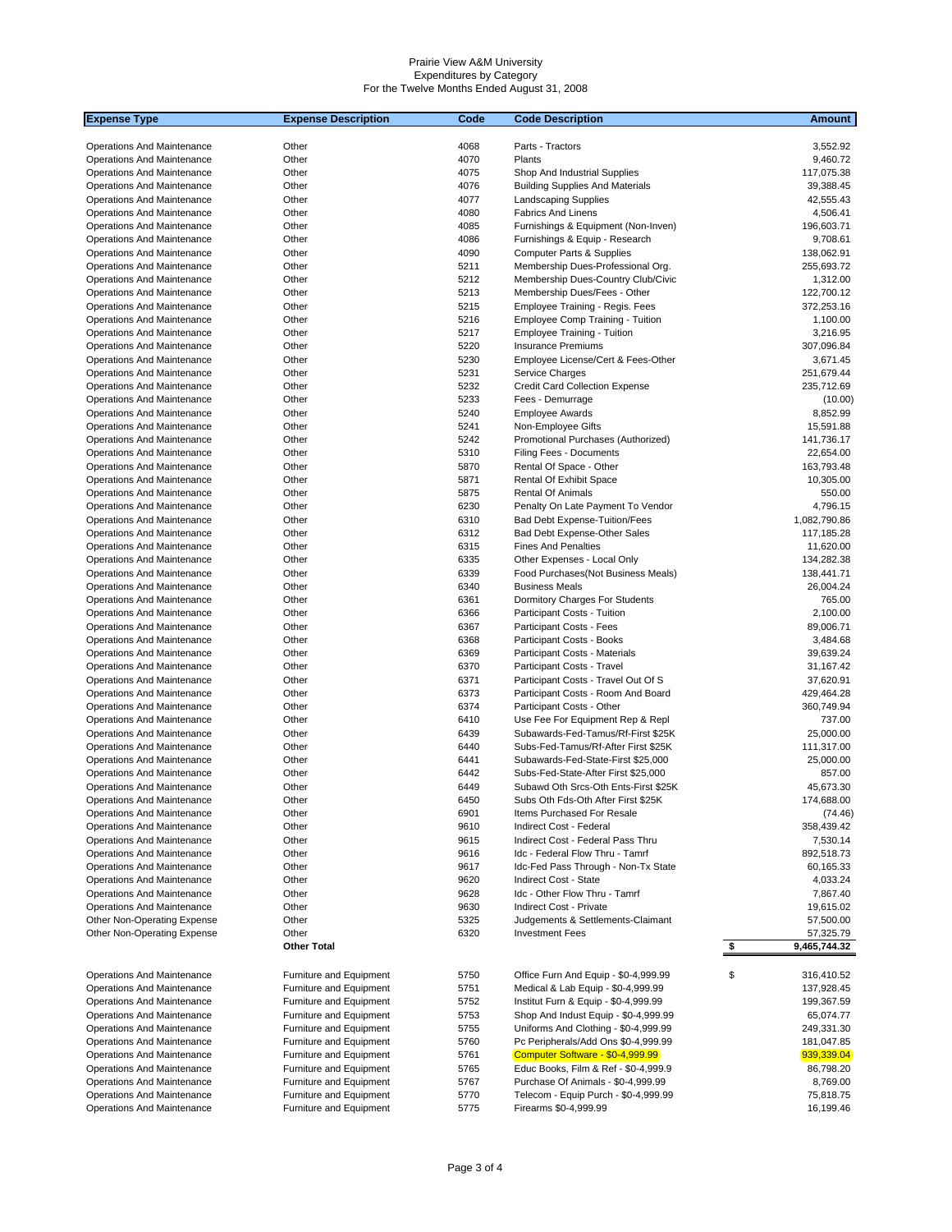| <b>Expense Type</b>                                                    | <b>Expense Description</b>                         | Code         | <b>Code Description</b>                                                    | Amount                                  |
|------------------------------------------------------------------------|----------------------------------------------------|--------------|----------------------------------------------------------------------------|-----------------------------------------|
|                                                                        |                                                    |              |                                                                            |                                         |
| <b>Operations And Maintenance</b>                                      | Other                                              | 4068         | Parts - Tractors                                                           | 3,552.92                                |
| <b>Operations And Maintenance</b>                                      | Other                                              | 4070         | Plants                                                                     | 9,460.72                                |
| Operations And Maintenance                                             | Other                                              | 4075         | Shop And Industrial Supplies                                               | 117,075.38                              |
| <b>Operations And Maintenance</b><br><b>Operations And Maintenance</b> | Other<br>Other                                     | 4076<br>4077 | <b>Building Supplies And Materials</b><br><b>Landscaping Supplies</b>      | 39,388.45                               |
| <b>Operations And Maintenance</b>                                      | Other                                              | 4080         | <b>Fabrics And Linens</b>                                                  | 42,555.43<br>4,506.41                   |
| Operations And Maintenance                                             | Other                                              | 4085         | Furnishings & Equipment (Non-Inven)                                        | 196,603.71                              |
| Operations And Maintenance                                             | Other                                              | 4086         | Furnishings & Equip - Research                                             | 9,708.61                                |
| Operations And Maintenance                                             | Other                                              | 4090         | Computer Parts & Supplies                                                  | 138,062.91                              |
| Operations And Maintenance                                             | Other                                              | 5211         | Membership Dues-Professional Org.                                          | 255,693.72                              |
| <b>Operations And Maintenance</b>                                      | Other                                              | 5212         | Membership Dues-Country Club/Civic                                         | 1,312.00                                |
| Operations And Maintenance                                             | Other                                              | 5213         | Membership Dues/Fees - Other                                               | 122,700.12                              |
| <b>Operations And Maintenance</b>                                      | Other                                              | 5215         | Employee Training - Regis. Fees                                            | 372,253.16                              |
| Operations And Maintenance                                             | Other                                              | 5216         | <b>Employee Comp Training - Tuition</b>                                    | 1,100.00                                |
| <b>Operations And Maintenance</b>                                      | Other                                              | 5217         | <b>Employee Training - Tuition</b>                                         | 3,216.95                                |
| Operations And Maintenance                                             | Other                                              | 5220         | <b>Insurance Premiums</b>                                                  | 307,096.84                              |
| Operations And Maintenance                                             | Other                                              | 5230         | Employee License/Cert & Fees-Other                                         | 3,671.45                                |
| Operations And Maintenance                                             | Other                                              | 5231         | Service Charges                                                            | 251,679.44                              |
| Operations And Maintenance                                             | Other                                              | 5232         | <b>Credit Card Collection Expense</b>                                      | 235,712.69                              |
| <b>Operations And Maintenance</b>                                      | Other                                              | 5233         | Fees - Demurrage                                                           | (10.00)                                 |
| Operations And Maintenance                                             | Other                                              | 5240         | <b>Employee Awards</b>                                                     | 8,852.99                                |
| <b>Operations And Maintenance</b>                                      | Other                                              | 5241         | Non-Employee Gifts                                                         | 15,591.88                               |
| Operations And Maintenance                                             | Other<br>Other                                     | 5242<br>5310 | Promotional Purchases (Authorized)<br>Filing Fees - Documents              | 141,736.17                              |
| Operations And Maintenance<br>Operations And Maintenance               | Other                                              | 5870         | Rental Of Space - Other                                                    | 22,654.00<br>163,793.48                 |
| Operations And Maintenance                                             | Other                                              | 5871         | Rental Of Exhibit Space                                                    | 10,305.00                               |
| <b>Operations And Maintenance</b>                                      | Other                                              | 5875         | Rental Of Animals                                                          | 550.00                                  |
| Operations And Maintenance                                             | Other                                              | 6230         | Penalty On Late Payment To Vendor                                          | 4,796.15                                |
| Operations And Maintenance                                             | Other                                              | 6310         | Bad Debt Expense-Tuition/Fees                                              | 1,082,790.86                            |
| Operations And Maintenance                                             | Other                                              | 6312         | Bad Debt Expense-Other Sales                                               | 117,185.28                              |
| Operations And Maintenance                                             | Other                                              | 6315         | <b>Fines And Penalties</b>                                                 | 11,620.00                               |
| Operations And Maintenance                                             | Other                                              | 6335         | Other Expenses - Local Only                                                | 134,282.38                              |
| Operations And Maintenance                                             | Other                                              | 6339         | Food Purchases (Not Business Meals)                                        | 138,441.71                              |
| <b>Operations And Maintenance</b>                                      | Other                                              | 6340         | <b>Business Meals</b>                                                      | 26,004.24                               |
| Operations And Maintenance                                             | Other                                              | 6361         | Dormitory Charges For Students                                             | 765.00                                  |
| Operations And Maintenance                                             | Other                                              | 6366         | Participant Costs - Tuition                                                | 2,100.00                                |
| Operations And Maintenance                                             | Other                                              | 6367         | Participant Costs - Fees                                                   | 89,006.71                               |
| Operations And Maintenance                                             | Other                                              | 6368         | Participant Costs - Books                                                  | 3,484.68                                |
| Operations And Maintenance                                             | Other                                              | 6369         | Participant Costs - Materials                                              | 39,639.24                               |
| Operations And Maintenance                                             | Other                                              | 6370         | Participant Costs - Travel                                                 | 31,167.42                               |
| Operations And Maintenance                                             | Other                                              | 6371<br>6373 | Participant Costs - Travel Out Of S                                        | 37,620.91                               |
| Operations And Maintenance<br>Operations And Maintenance               | Other<br>Other                                     | 6374         | Participant Costs - Room And Board<br>Participant Costs - Other            | 429,464.28<br>360,749.94                |
| Operations And Maintenance                                             | Other                                              | 6410         | Use Fee For Equipment Rep & Repl                                           | 737.00                                  |
| Operations And Maintenance                                             | Other                                              | 6439         | Subawards-Fed-Tamus/Rf-First \$25K                                         | 25,000.00                               |
| Operations And Maintenance                                             | Other                                              | 6440         | Subs-Fed-Tamus/Rf-After First \$25K                                        | 111,317.00                              |
| Operations And Maintenance                                             | Other                                              | 6441         | Subawards-Fed-State-First \$25,000                                         | 25,000.00                               |
| Operations And Maintenance                                             | Other                                              | 6442         | Subs-Fed-State-After First \$25,000                                        | 857.00                                  |
| Operations And Maintenance                                             | Other                                              | 6449         | Subawd Oth Srcs-Oth Ents-First \$25K                                       | 45,673.30                               |
| <b>Operations And Maintenance</b>                                      | Other                                              | 6450         | Subs Oth Fds-Oth After First \$25K                                         | 174,688.00                              |
| Operations And Maintenance                                             | Other                                              | 6901         | Items Purchased For Resale                                                 | (74.46)                                 |
| Operations And Maintenance                                             | Other                                              | 9610         | Indirect Cost - Federal                                                    | 358,439.42                              |
| Operations And Maintenance                                             | Other                                              | 9615         | Indirect Cost - Federal Pass Thru                                          | 7,530.14                                |
| Operations And Maintenance                                             | Other                                              | 9616         | Idc - Federal Flow Thru - Tamrf                                            | 892,518.73                              |
| <b>Operations And Maintenance</b>                                      | Other                                              | 9617         | Idc-Fed Pass Through - Non-Tx State                                        | 60,165.33                               |
| <b>Operations And Maintenance</b>                                      | Other                                              | 9620         | Indirect Cost - State                                                      | 4,033.24                                |
| Operations And Maintenance                                             | Other                                              | 9628         | Idc - Other Flow Thru - Tamrf                                              | 7,867.40                                |
| <b>Operations And Maintenance</b>                                      | Other<br>Other                                     | 9630<br>5325 | Indirect Cost - Private                                                    | 19,615.02                               |
| Other Non-Operating Expense<br>Other Non-Operating Expense             | Other                                              | 6320         | Judgements & Settlements-Claimant<br><b>Investment Fees</b>                | 57,500.00<br>57,325.79                  |
|                                                                        | <b>Other Total</b>                                 |              |                                                                            | $\sqrt[6]{\frac{1}{2}}$<br>9,465,744.32 |
|                                                                        |                                                    |              |                                                                            |                                         |
| Operations And Maintenance                                             | Furniture and Equipment                            | 5750         | Office Furn And Equip - \$0-4,999.99                                       | \$<br>316,410.52                        |
| Operations And Maintenance                                             | Furniture and Equipment                            | 5751         | Medical & Lab Equip - \$0-4,999.99                                         | 137,928.45                              |
| <b>Operations And Maintenance</b>                                      | Furniture and Equipment                            | 5752         | Institut Furn & Equip - \$0-4,999.99                                       | 199,367.59                              |
| Operations And Maintenance                                             | Furniture and Equipment                            | 5753         | Shop And Indust Equip - \$0-4,999.99                                       | 65,074.77                               |
| Operations And Maintenance                                             | Furniture and Equipment                            | 5755         | Uniforms And Clothing - \$0-4,999.99                                       | 249,331.30                              |
| Operations And Maintenance                                             | Furniture and Equipment                            | 5760         | Pc Peripherals/Add Ons \$0-4,999.99                                        | 181,047.85                              |
| Operations And Maintenance                                             | Furniture and Equipment                            | 5761         | Computer Software - \$0-4,999.99                                           | 939,339.04                              |
| Operations And Maintenance                                             | Furniture and Equipment                            | 5765<br>5767 | Educ Books, Film & Ref - \$0-4,999.9                                       | 86,798.20<br>8,769.00                   |
| Operations And Maintenance<br>Operations And Maintenance               | Furniture and Equipment<br>Furniture and Equipment | 5770         | Purchase Of Animals - \$0-4,999.99<br>Telecom - Equip Purch - \$0-4,999.99 | 75,818.75                               |
| Operations And Maintenance                                             | Furniture and Equipment                            | 5775         | Firearms \$0-4,999.99                                                      | 16,199.46                               |
|                                                                        |                                                    |              |                                                                            |                                         |